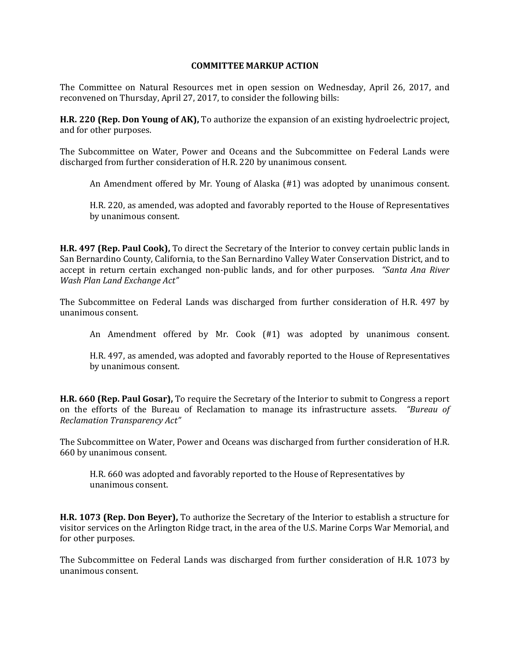## **COMMITTEE MARKUP ACTION**

The Committee on Natural Resources met in open session on Wednesday, April 26, 2017, and reconvened on Thursday, April 27, 2017, to consider the following bills:

**H.R. 220 (Rep. Don Young of AK),** To authorize the expansion of an existing hydroelectric project, and for other purposes.

The Subcommittee on Water, Power and Oceans and the Subcommittee on Federal Lands were discharged from further consideration of H.R. 220 by unanimous consent.

An Amendment offered by Mr. Young of Alaska (#1) was adopted by unanimous consent.

H.R. 220, as amended, was adopted and favorably reported to the House of Representatives by unanimous consent.

**H.R. 497 (Rep. Paul Cook),** To direct the Secretary of the Interior to convey certain public lands in San Bernardino County, California, to the San Bernardino Valley Water Conservation District, and to accept in return certain exchanged non-public lands, and for other purposes. *"Santa Ana River Wash Plan Land Exchange Act"*

The Subcommittee on Federal Lands was discharged from further consideration of H.R. 497 by unanimous consent.

An Amendment offered by Mr. Cook (#1) was adopted by unanimous consent.

H.R. 497, as amended, was adopted and favorably reported to the House of Representatives by unanimous consent.

**H.R. 660 (Rep. Paul Gosar),** To require the Secretary of the Interior to submit to Congress a report on the efforts of the Bureau of Reclamation to manage its infrastructure assets. *"Bureau of Reclamation Transparency Act"*

The Subcommittee on Water, Power and Oceans was discharged from further consideration of H.R. 660 by unanimous consent.

H.R. 660 was adopted and favorably reported to the House of Representatives by unanimous consent.

**H.R. 1073 (Rep. Don Beyer),** To authorize the Secretary of the Interior to establish a structure for visitor services on the Arlington Ridge tract, in the area of the U.S. Marine Corps War Memorial, and for other purposes.

The Subcommittee on Federal Lands was discharged from further consideration of H.R. 1073 by unanimous consent.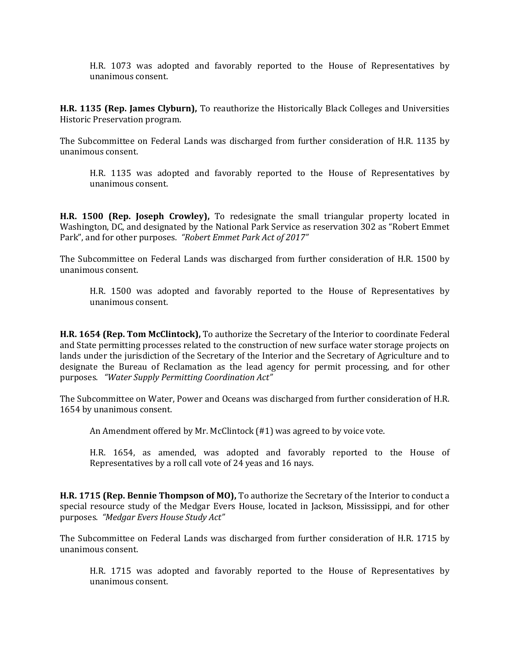H.R. 1073 was adopted and favorably reported to the House of Representatives by unanimous consent.

**H.R. 1135 (Rep. James Clyburn),** To reauthorize the Historically Black Colleges and Universities Historic Preservation program.

The Subcommittee on Federal Lands was discharged from further consideration of H.R. 1135 by unanimous consent.

H.R. 1135 was adopted and favorably reported to the House of Representatives by unanimous consent.

**H.R. 1500 (Rep. Joseph Crowley),** To redesignate the small triangular property located in Washington, DC, and designated by the National Park Service as reservation 302 as "Robert Emmet Park", and for other purposes. *"Robert Emmet Park Act of 2017"*

The Subcommittee on Federal Lands was discharged from further consideration of H.R. 1500 by unanimous consent.

H.R. 1500 was adopted and favorably reported to the House of Representatives by unanimous consent.

**H.R. 1654 (Rep. Tom McClintock),** To authorize the Secretary of the Interior to coordinate Federal and State permitting processes related to the construction of new surface water storage projects on lands under the jurisdiction of the Secretary of the Interior and the Secretary of Agriculture and to designate the Bureau of Reclamation as the lead agency for permit processing, and for other purposes. *"Water Supply Permitting Coordination Act"*

The Subcommittee on Water, Power and Oceans was discharged from further consideration of H.R. 1654 by unanimous consent.

An Amendment offered by Mr. McClintock (#1) was agreed to by voice vote.

H.R. 1654, as amended, was adopted and favorably reported to the House of Representatives by a roll call vote of 24 yeas and 16 nays.

**H.R. 1715 (Rep. Bennie Thompson of MO),** To authorize the Secretary of the Interior to conduct a special resource study of the Medgar Evers House, located in Jackson, Mississippi, and for other purposes. *"Medgar Evers House Study Act"*

The Subcommittee on Federal Lands was discharged from further consideration of H.R. 1715 by unanimous consent.

H.R. 1715 was adopted and favorably reported to the House of Representatives by unanimous consent.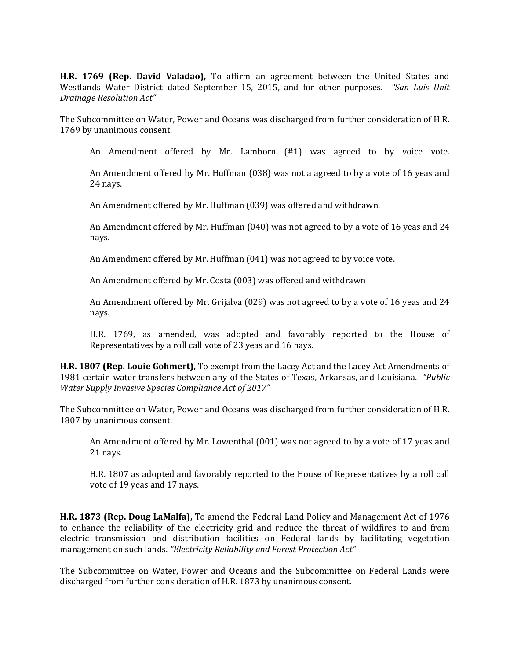**H.R. 1769 (Rep. David Valadao),** To affirm an agreement between the United States and Westlands Water District dated September 15, 2015, and for other purposes. *"San Luis Unit Drainage Resolution Act"*

The Subcommittee on Water, Power and Oceans was discharged from further consideration of H.R. 1769 by unanimous consent.

An Amendment offered by Mr. Lamborn (#1) was agreed to by voice vote.

An Amendment offered by Mr. Huffman (038) was not a agreed to by a vote of 16 yeas and 24 nays.

An Amendment offered by Mr. Huffman (039) was offered and withdrawn.

An Amendment offered by Mr. Huffman (040) was not agreed to by a vote of 16 yeas and 24 nays.

An Amendment offered by Mr. Huffman (041) was not agreed to by voice vote.

An Amendment offered by Mr. Costa (003) was offered and withdrawn

An Amendment offered by Mr. Grijalva (029) was not agreed to by a vote of 16 yeas and 24 nays.

H.R. 1769, as amended, was adopted and favorably reported to the House of Representatives by a roll call vote of 23 yeas and 16 nays.

**H.R. 1807 (Rep. Louie Gohmert),** To exempt from the Lacey Act and the Lacey Act Amendments of 1981 certain water transfers between any of the States of Texas, Arkansas, and Louisiana. *"Public Water Supply Invasive Species Compliance Act of 2017"*

The Subcommittee on Water, Power and Oceans was discharged from further consideration of H.R. 1807 by unanimous consent.

An Amendment offered by Mr. Lowenthal (001) was not agreed to by a vote of 17 yeas and 21 nays.

H.R. 1807 as adopted and favorably reported to the House of Representatives by a roll call vote of 19 yeas and 17 nays.

**H.R. 1873 (Rep. Doug LaMalfa),** To amend the Federal Land Policy and Management Act of 1976 to enhance the reliability of the electricity grid and reduce the threat of wildfires to and from electric transmission and distribution facilities on Federal lands by facilitating vegetation management on such lands. *"Electricity Reliability and Forest Protection Act"*

The Subcommittee on Water, Power and Oceans and the Subcommittee on Federal Lands were discharged from further consideration of H.R. 1873 by unanimous consent.